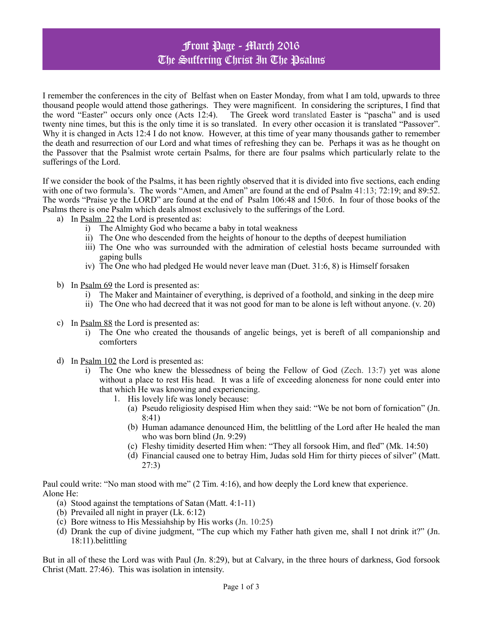## Front Page - March 2016 The Suffering Christ In The Psalms

I remember the conferences in the city of Belfast when on Easter Monday, from what I am told, upwards to three thousand people would attend those gatherings. They were magnificent. In considering the scriptures, I find that the word "Easter" occurs only once (Acts 12:4). The Greek word translated Easter is "pascha" and is used twenty nine times, but this is the only time it is so translated. In every other occasion it is translated "Passover". Why it is changed in Acts 12:4 I do not know. However, at this time of year many thousands gather to remember the death and resurrection of our Lord and what times of refreshing they can be. Perhaps it was as he thought on the Passover that the Psalmist wrote certain Psalms, for there are four psalms which particularly relate to the sufferings of the Lord.

If we consider the book of the Psalms, it has been rightly observed that it is divided into five sections, each ending with one of two formula's. The words "Amen, and Amen" are found at the end of Psalm 41:13; 72:19; and 89:52. The words "Praise ye the LORD" are found at the end of Psalm 106:48 and 150:6. In four of those books of the Psalms there is one Psalm which deals almost exclusively to the sufferings of the Lord.

- a) In Psalm 22 the Lord is presented as:
	- i) The Almighty God who became a baby in total weakness
	- ii) The One who descended from the heights of honour to the depths of deepest humiliation
	- iii) The One who was surrounded with the admiration of celestial hosts became surrounded with gaping bulls
	- iv) The One who had pledged He would never leave man (Duet. 31:6, 8) is Himself forsaken
- b) In <u>Psalm 69</u> the Lord is presented as:
	- i) The Maker and Maintainer of everything, is deprived of a foothold, and sinking in the deep mire
	- ii) The One who had decreed that it was not good for man to be alone is left without anyone. (v. 20)
- c) In Psalm 88 the Lord is presented as:
	- i) The One who created the thousands of angelic beings, yet is bereft of all companionship and comforters
- d) In Psalm 102 the Lord is presented as:
	- i) The One who knew the blessedness of being the Fellow of God (Zech. 13:7) yet was alone without a place to rest His head. It was a life of exceeding aloneness for none could enter into that which He was knowing and experiencing.
		- 1. His lovely life was lonely because:
			- (a) Pseudo religiosity despised Him when they said: "We be not born of fornication" (Jn. 8:41)
			- (b) Human adamance denounced Him, the belittling of the Lord after He healed the man who was born blind (Jn. 9:29)
			- (c) Fleshy timidity deserted Him when: "They all forsook Him, and fled" (Mk. 14:50)
			- (d) Financial caused one to betray Him, Judas sold Him for thirty pieces of silver" (Matt. 27:3)

Paul could write: "No man stood with me" (2 Tim. 4:16), and how deeply the Lord knew that experience. Alone He:

- (a) Stood against the temptations of Satan (Matt. 4:1-11)
- (b) Prevailed all night in prayer (Lk. 6:12)
- (c) Bore witness to His Messiahship by His works (Jn. 10:25)
- (d) Drank the cup of divine judgment, "The cup which my Father hath given me, shall I not drink it?" (Jn. 18:11).belittling

But in all of these the Lord was with Paul (Jn. 8:29), but at Calvary, in the three hours of darkness, God forsook Christ (Matt. 27:46). This was isolation in intensity.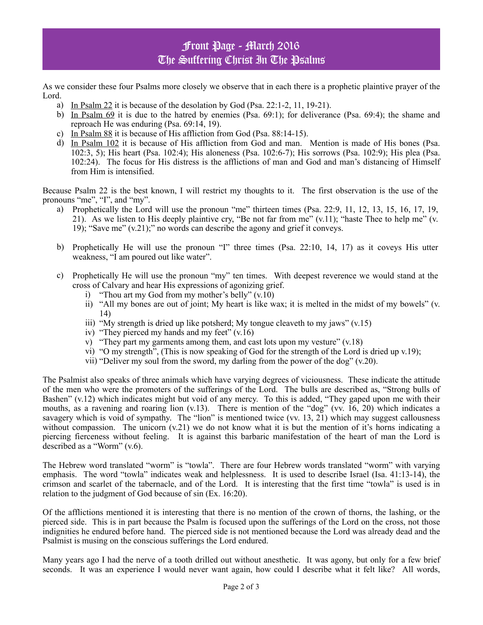## Front Page - March 2016 The Suffering Christ In The Psalms

As we consider these four Psalms more closely we observe that in each there is a prophetic plaintive prayer of the Lord.

- a) In Psalm 22 it is because of the desolation by God (Psa. 22:1-2, 11, 19-21).
- b) In Psalm 69 it is due to the hatred by enemies (Psa. 69:1); for deliverance (Psa. 69:4); the shame and reproach He was enduring (Psa. 69:14, 19).
- c) In Psalm 88 it is because of His affliction from God (Psa. 88:14-15).
- d) In Psalm 102 it is because of His affliction from God and man. Mention is made of His bones (Psa. 102:3, 5); His heart (Psa. 102:4); His aloneness (Psa. 102:6-7); His sorrows (Psa. 102:9); His plea (Psa. 102:24). The focus for His distress is the afflictions of man and God and man's distancing of Himself from Him is intensified.

Because Psalm 22 is the best known, I will restrict my thoughts to it. The first observation is the use of the pronouns "me", "I", and "my".

- a) Prophetically the Lord will use the pronoun "me" thirteen times (Psa. 22:9, 11, 12, 13, 15, 16, 17, 19, 21). As we listen to His deeply plaintive cry, "Be not far from me" (v.11); "haste Thee to help me" (v. 19); "Save me" (v.21);" no words can describe the agony and grief it conveys.
- b) Prophetically He will use the pronoun "I" three times (Psa. 22:10, 14, 17) as it coveys His utter weakness, "I am poured out like water".
- c) Prophetically He will use the pronoun "my" ten times. With deepest reverence we would stand at the cross of Calvary and hear His expressions of agonizing grief.
	- i) "Thou art my God from my mother's belly" (v.10)
	- ii) "All my bones are out of joint; My heart is like wax; it is melted in the midst of my bowels" (v. 14)
	- iii) "My strength is dried up like potsherd; My tongue cleaveth to my jaws"  $(v.15)$
	- iv) "They pierced my hands and my feet" (v.16)
	- v) "They part my garments among them, and cast lots upon my vesture" (v.18)
	- vi) "O my strength", (This is now speaking of God for the strength of the Lord is dried up v.19);
	- vii) "Deliver my soul from the sword, my darling from the power of the dog" (v.20).

The Psalmist also speaks of three animals which have varying degrees of viciousness. These indicate the attitude of the men who were the promoters of the sufferings of the Lord. The bulls are described as, "Strong bulls of Bashen" (v.12) which indicates might but void of any mercy. To this is added, "They gaped upon me with their mouths, as a ravening and roaring lion (v.13). There is mention of the "dog" (vv. 16, 20) which indicates a savagery which is void of sympathy. The "lion" is mentioned twice (vv. 13, 21) which may suggest callousness without compassion. The unicorn  $(v.21)$  we do not know what it is but the mention of it's horns indicating a piercing fierceness without feeling. It is against this barbaric manifestation of the heart of man the Lord is described as a "Worm" (v.6).

The Hebrew word translated "worm" is "towla". There are four Hebrew words translated "worm" with varying emphasis. The word "towla" indicates weak and helplessness. It is used to describe Israel (Isa. 41:13-14), the crimson and scarlet of the tabernacle, and of the Lord. It is interesting that the first time "towla" is used is in relation to the judgment of God because of sin (Ex. 16:20).

Of the afflictions mentioned it is interesting that there is no mention of the crown of thorns, the lashing, or the pierced side. This is in part because the Psalm is focused upon the sufferings of the Lord on the cross, not those indignities he endured before hand. The pierced side is not mentioned because the Lord was already dead and the Psalmist is musing on the conscious sufferings the Lord endured.

Many years ago I had the nerve of a tooth drilled out without anesthetic. It was agony, but only for a few brief seconds. It was an experience I would never want again, how could I describe what it felt like? All words,